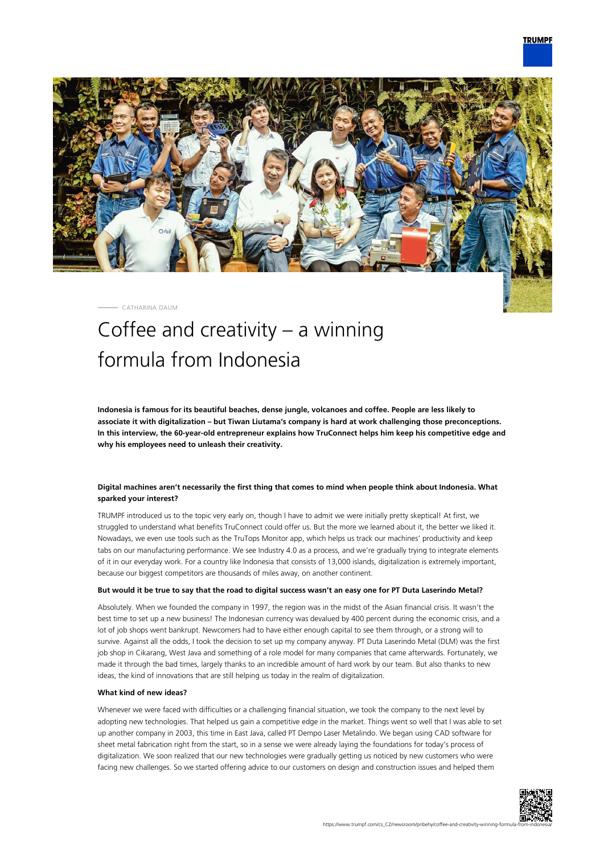

CATHARINA DAUM

# Coffee and creativity – a winning formula from Indonesia

**Indonesia is famous for its beautiful beaches, dense jungle, volcanoes and coffee. People are less likely to associate it with digitalization – but Tiwan Liutama's company is hard at work challenging those preconceptions. In this interview, the 60-year-old entrepreneur explains how TruConnect helps him keep his competitive edge and why his employees need to unleash their creativity.**

# **Digital machines aren't necessarily the first thing that comes to mind when people think about Indonesia. What sparked your interest?**

TRUMPF introduced us to the topic very early on, though I have to admit we were initially pretty skeptical! At first, we struggled to understand what benefits TruConnect could offer us. But the more we learned about it, the better we liked it. Nowadays, we even use tools such as the TruTops Monitor app, which helps us track our machines' productivity and keep tabs on our manufacturing performance. We see Industry 4.0 as a process, and we're gradually trying to integrate elements of it in our everyday work. For a country like Indonesia that consists of 13,000 islands, digitalization is extremely important, because our biggest competitors are thousands of miles away, on another continent.

## **But would it be true to say that the road to digital success wasn't an easy one for PT Duta Laserindo Metal?**

Absolutely. When we founded the company in 1997, the region was in the midst of the Asian financial crisis. It wasn't the best time to set up a new business! The Indonesian currency was devalued by 400 percent during the economic crisis, and a lot of job shops went bankrupt. Newcomers had to have either enough capital to see them through, or a strong will to survive. Against all the odds, I took the decision to set up my company anyway. PT Duta Laserindo Metal (DLM) was the first job shop in Cikarang, West Java and something of a role model for many companies that came afterwards. Fortunately, we made it through the bad times, largely thanks to an incredible amount of hard work by our team. But also thanks to new ideas, the kind of innovations that are still helping us today in the realm of digitalization.

## **What kind of new ideas?**

Whenever we were faced with difficulties or a challenging financial situation, we took the company to the next level by adopting new technologies. That helped us gain a competitive edge in the market. Things went so well that I was able to set up another company in 2003, this time in East Java, called PT Dempo Laser Metalindo. We began using CAD software for sheet metal fabrication right from the start, so in a sense we were already laying the foundations for today's process of digitalization. We soon realized that our new technologies were gradually getting us noticed by new customers who were facing new challenges. So we started offering advice to our customers on design and construction issues and helped them

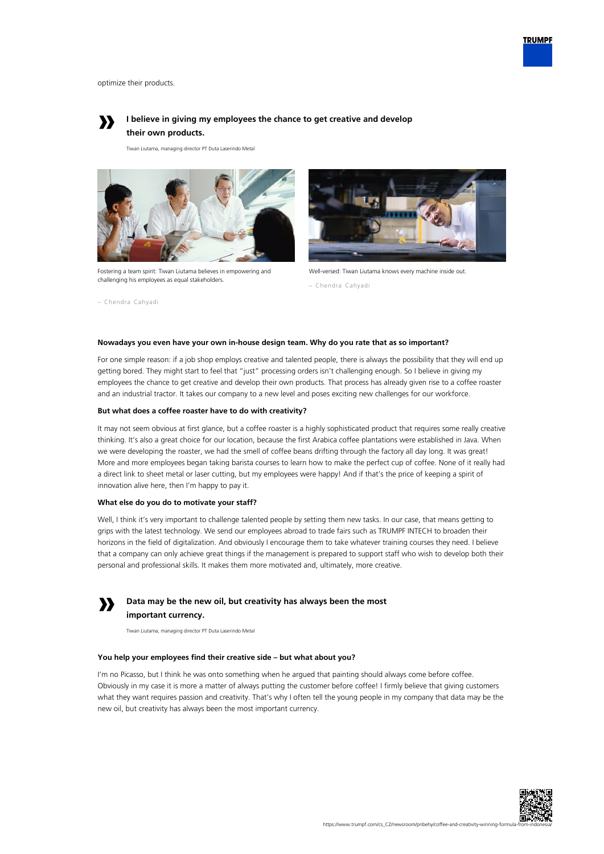

optimize their products.

– Chendra Cahyadi



# **I believe in giving my employees the chance to get creative and develop their own products.**

Tiwan Liutama, managing director PT Duta Laserindo Metal



Fostering a team spirit: Tiwan Liutama believes in empowering and challenging his employees as equal stakeholders.



Well-versed: Tiwan Liutama knows every machine inside out.

# **Nowadays you even have your own in-house design team. Why do you rate that as so important?**

For one simple reason: if a job shop employs creative and talented people, there is always the possibility that they will end up getting bored. They might start to feel that "just" processing orders isn't challenging enough. So I believe in giving my employees the chance to get creative and develop their own products. That process has already given rise to a coffee roaster and an industrial tractor. It takes our company to a new level and poses exciting new challenges for our workforce.

## **But what does a coffee roaster have to do with creativity?**

It may not seem obvious at first glance, but a coffee roaster is a highly sophisticated product that requires some really creative thinking. It's also a great choice for our location, because the first Arabica coffee plantations were established in Java. When we were developing the roaster, we had the smell of coffee beans drifting through the factory all day long. It was great! More and more employees began taking barista courses to learn how to make the perfect cup of coffee. None of it really had a direct link to sheet metal or laser cutting, but my employees were happy! And if that's the price of keeping a spirit of innovation alive here, then I'm happy to pay it.

#### **What else do you do to motivate your staff?**

Well, I think it's very important to challenge talented people by setting them new tasks. In our case, that means getting to grips with the latest technology. We send our employees abroad to trade fairs such as TRUMPF INTECH to broaden their horizons in the field of digitalization. And obviously I encourage them to take whatever training courses they need. I believe that a company can only achieve great things if the management is prepared to support staff who wish to develop both their personal and professional skills. It makes them more motivated and, ultimately, more creative.



**Data may be the new oil, but creativity has always been the most important currency.**

Tiwan Liutama, managing director PT Duta Laserindo Metal

## **You help your employees find their creative side – but what about you?**

I'm no Picasso, but I think he was onto something when he argued that painting should always come before coffee. Obviously in my case it is more a matter of always putting the customer before coffee! I firmly believe that giving customers what they want requires passion and creativity. That's why I often tell the young people in my company that data may be the new oil, but creativity has always been the most important currency.



<sup>–</sup> Chendra Cahyadi